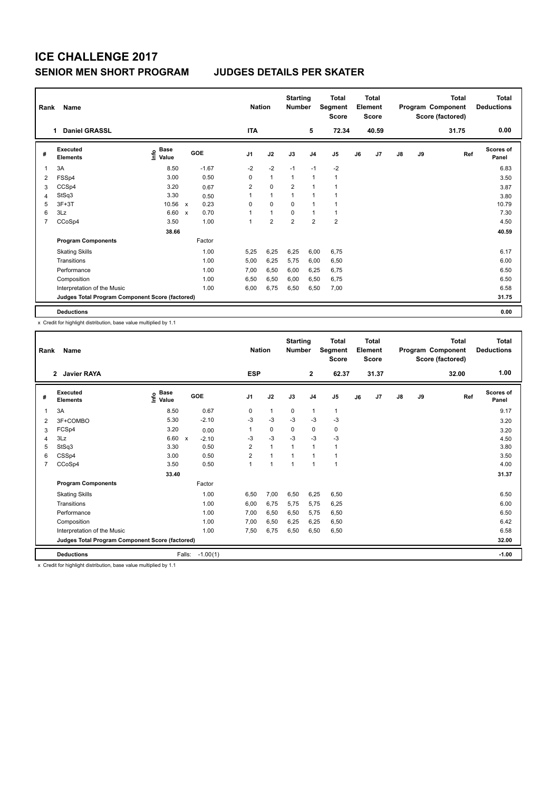| Rank           | Name                                            |                                  |                           |         |                | <b>Nation</b>  |                | <b>Starting</b><br><b>Number</b> | <b>Total</b><br>Segment<br>Score | <b>Total</b><br>Element<br><b>Score</b> |       |    |    | <b>Total</b><br>Program Component<br>Score (factored) | <b>Total</b><br><b>Deductions</b> |
|----------------|-------------------------------------------------|----------------------------------|---------------------------|---------|----------------|----------------|----------------|----------------------------------|----------------------------------|-----------------------------------------|-------|----|----|-------------------------------------------------------|-----------------------------------|
|                | <b>Daniel GRASSL</b>                            |                                  |                           |         | <b>ITA</b>     |                |                | 5                                | 72.34                            |                                         | 40.59 |    |    | 31.75                                                 | 0.00                              |
| #              | <b>Executed</b><br><b>Elements</b>              | <b>Base</b><br>o Base<br>⊆ Value |                           | GOE     | J <sub>1</sub> | J2             | J3             | J <sub>4</sub>                   | J5                               | J6                                      | J7    | J8 | J9 | Ref                                                   | <b>Scores of</b><br>Panel         |
| 1              | 3A                                              | 8.50                             |                           | $-1.67$ | $-2$           | $-2$           | $-1$           | $-1$                             | $-2$                             |                                         |       |    |    |                                                       | 6.83                              |
| 2              | FSSp4                                           | 3.00                             |                           | 0.50    | 0              | $\mathbf{1}$   | 1              | $\overline{1}$                   | $\mathbf{1}$                     |                                         |       |    |    |                                                       | 3.50                              |
| 3              | CCSp4                                           | 3.20                             |                           | 0.67    | $\overline{2}$ | $\mathbf 0$    | $\overline{2}$ | 1                                |                                  |                                         |       |    |    |                                                       | 3.87                              |
| 4              | StSq3                                           | 3.30                             |                           | 0.50    | 1              | $\mathbf{1}$   | $\overline{1}$ | $\overline{1}$                   |                                  |                                         |       |    |    |                                                       | 3.80                              |
| 5              | $3F+3T$                                         | 10.56 x                          |                           | 0.23    | 0              | $\Omega$       | $\Omega$       | 1                                |                                  |                                         |       |    |    |                                                       | 10.79                             |
| 6              | 3Lz                                             | 6.60                             | $\boldsymbol{\mathsf{x}}$ | 0.70    | 1              | $\mathbf{1}$   | 0              | $\overline{1}$                   | 1                                |                                         |       |    |    |                                                       | 7.30                              |
| $\overline{7}$ | CCoSp4                                          | 3.50                             |                           | 1.00    | 1              | $\overline{2}$ | $\overline{2}$ | $\overline{2}$                   | $\overline{2}$                   |                                         |       |    |    |                                                       | 4.50                              |
|                |                                                 | 38.66                            |                           |         |                |                |                |                                  |                                  |                                         |       |    |    |                                                       | 40.59                             |
|                | <b>Program Components</b>                       |                                  |                           | Factor  |                |                |                |                                  |                                  |                                         |       |    |    |                                                       |                                   |
|                | <b>Skating Skills</b>                           |                                  |                           | 1.00    | 5,25           | 6,25           | 6,25           | 6,00                             | 6,75                             |                                         |       |    |    |                                                       | 6.17                              |
|                | Transitions                                     |                                  |                           | 1.00    | 5,00           | 6,25           | 5,75           | 6,00                             | 6,50                             |                                         |       |    |    |                                                       | 6.00                              |
|                | Performance                                     |                                  |                           | 1.00    | 7.00           | 6,50           | 6,00           | 6,25                             | 6,75                             |                                         |       |    |    |                                                       | 6.50                              |
|                | Composition                                     |                                  |                           | 1.00    | 6,50           | 6,50           | 6,00           | 6,50                             | 6,75                             |                                         |       |    |    |                                                       | 6.50                              |
|                | Interpretation of the Music                     |                                  |                           | 1.00    | 6,00           | 6,75           | 6,50           | 6,50                             | 7,00                             |                                         |       |    |    |                                                       | 6.58                              |
|                | Judges Total Program Component Score (factored) |                                  |                           |         |                |                |                |                                  |                                  |                                         |       |    |    |                                                       | 31.75                             |
|                | <b>Deductions</b>                               |                                  |                           |         |                |                |                |                                  |                                  |                                         |       |    |    |                                                       | 0.00                              |

x Credit for highlight distribution, base value multiplied by 1.1

| Rank           | Name                                            |                                  | <b>Nation</b>                        |                | <b>Starting</b><br><b>Number</b> | <b>Total</b><br>Segment<br><b>Score</b> | <b>Total</b><br>Element<br><b>Score</b> |                |    |       | <b>Total</b><br>Program Component<br>Score (factored) | <b>Total</b><br><b>Deductions</b> |       |                           |
|----------------|-------------------------------------------------|----------------------------------|--------------------------------------|----------------|----------------------------------|-----------------------------------------|-----------------------------------------|----------------|----|-------|-------------------------------------------------------|-----------------------------------|-------|---------------------------|
|                | <b>Javier RAYA</b><br>$\mathbf{2}$              |                                  |                                      | <b>ESP</b>     |                                  |                                         | $\mathbf{2}$                            | 62.37          |    | 31.37 |                                                       |                                   | 32.00 | 1.00                      |
| #              | Executed<br><b>Elements</b>                     | <b>Base</b><br>e Base<br>⊆ Value | GOE                                  | J <sub>1</sub> | J2                               | J3                                      | J <sub>4</sub>                          | J <sub>5</sub> | J6 | J7    | $\mathsf{J}8$                                         | J9                                | Ref   | <b>Scores of</b><br>Panel |
|                | 3A                                              | 8.50                             | 0.67                                 | 0              | $\mathbf{1}$                     | 0                                       | $\mathbf{1}$                            | $\mathbf{1}$   |    |       |                                                       |                                   |       | 9.17                      |
| 2              | 3F+COMBO                                        | 5.30                             | $-2.10$                              | $-3$           | $-3$                             | $-3$                                    | $-3$                                    | $-3$           |    |       |                                                       |                                   |       | 3.20                      |
| 3              | FCSp4                                           | 3.20                             | 0.00                                 | 1              | 0                                | 0                                       | $\mathbf 0$                             | 0              |    |       |                                                       |                                   |       | 3.20                      |
| 4              | 3Lz                                             | 6.60                             | $\boldsymbol{\mathsf{x}}$<br>$-2.10$ | $-3$           | $-3$                             | $-3$                                    | $-3$                                    | $-3$           |    |       |                                                       |                                   |       | 4.50                      |
| 5              | StSq3                                           | 3.30                             | 0.50                                 | $\overline{2}$ | $\mathbf{1}$                     | $\mathbf{1}$                            | 1                                       | 1              |    |       |                                                       |                                   |       | 3.80                      |
| 6              | CSSp4                                           | 3.00                             | 0.50                                 | $\overline{2}$ | $\mathbf{1}$                     | 1                                       | $\overline{1}$                          | 1              |    |       |                                                       |                                   |       | 3.50                      |
| $\overline{7}$ | CCoSp4                                          | 3.50                             | 0.50                                 | $\mathbf{1}$   | $\mathbf{1}$                     | $\mathbf{1}$                            | $\overline{1}$                          | $\mathbf{1}$   |    |       |                                                       |                                   |       | 4.00                      |
|                |                                                 | 33.40                            |                                      |                |                                  |                                         |                                         |                |    |       |                                                       |                                   |       | 31.37                     |
|                | <b>Program Components</b>                       |                                  | Factor                               |                |                                  |                                         |                                         |                |    |       |                                                       |                                   |       |                           |
|                | <b>Skating Skills</b>                           |                                  | 1.00                                 | 6,50           | 7,00                             | 6,50                                    | 6,25                                    | 6,50           |    |       |                                                       |                                   |       | 6.50                      |
|                | Transitions                                     |                                  | 1.00                                 | 6,00           | 6.75                             | 5,75                                    | 5,75                                    | 6,25           |    |       |                                                       |                                   |       | 6.00                      |
|                | Performance                                     |                                  | 1.00                                 | 7.00           | 6,50                             | 6,50                                    | 5,75                                    | 6,50           |    |       |                                                       |                                   |       | 6.50                      |
|                | Composition                                     |                                  | 1.00                                 | 7,00           | 6,50                             | 6,25                                    | 6,25                                    | 6,50           |    |       |                                                       |                                   |       | 6.42                      |
|                | Interpretation of the Music                     |                                  | 1.00                                 | 7.50           | 6.75                             | 6.50                                    | 6.50                                    | 6,50           |    |       |                                                       |                                   |       | 6.58                      |
|                | Judges Total Program Component Score (factored) |                                  |                                      |                |                                  |                                         |                                         |                |    |       |                                                       |                                   |       | 32.00                     |
|                | <b>Deductions</b>                               |                                  | Falls:<br>$-1.00(1)$                 |                |                                  |                                         |                                         |                |    |       |                                                       |                                   |       | $-1.00$                   |

x Credit for highlight distribution, base value multiplied by 1.1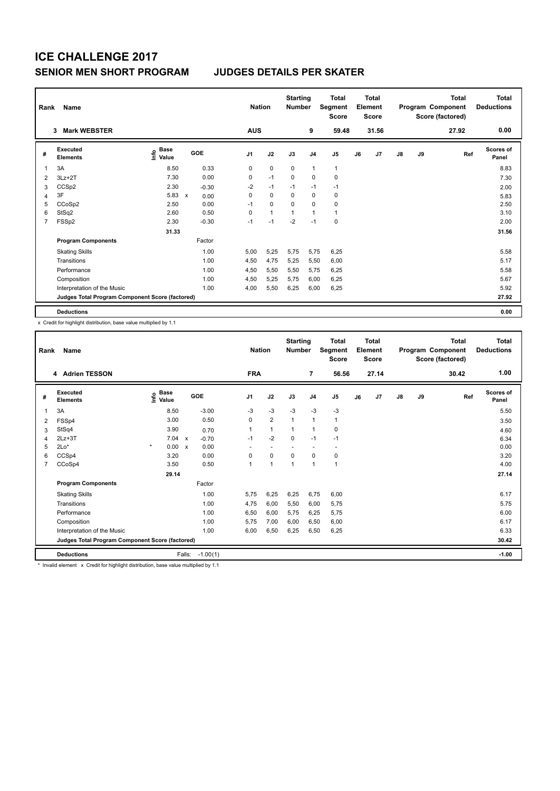| Rank           | Name                                            |                                  |                                   |                | <b>Nation</b> | <b>Starting</b><br><b>Number</b> |                | <b>Total</b><br>Segment<br><b>Score</b> | <b>Total</b><br>Element<br><b>Score</b> |       |               |    | <b>Total</b><br>Program Component<br>Score (factored) | <b>Total</b><br><b>Deductions</b> |
|----------------|-------------------------------------------------|----------------------------------|-----------------------------------|----------------|---------------|----------------------------------|----------------|-----------------------------------------|-----------------------------------------|-------|---------------|----|-------------------------------------------------------|-----------------------------------|
|                | <b>Mark WEBSTER</b><br>3                        |                                  |                                   | <b>AUS</b>     |               |                                  | 9              | 59.48                                   |                                         | 31.56 |               |    | 27.92                                                 | 0.00                              |
| #              | Executed<br><b>Elements</b>                     | <b>Base</b><br>o Base<br>⊆ Value | GOE                               | J <sub>1</sub> | J2            | J3                               | J <sub>4</sub> | J <sub>5</sub>                          | J6                                      | J7    | $\mathsf{J}8$ | J9 | Ref                                                   | Scores of<br>Panel                |
| 1              | 3A                                              | 8.50                             | 0.33                              | 0              | $\mathbf 0$   | 0                                | $\mathbf{1}$   | $\mathbf{1}$                            |                                         |       |               |    |                                                       | 8.83                              |
| 2              | $3Lz + 2T$                                      | 7.30                             | 0.00                              | 0              | $-1$          | $\mathbf 0$                      | $\mathbf 0$    | 0                                       |                                         |       |               |    |                                                       | 7.30                              |
| 3              | CCSp2                                           | 2.30                             | $-0.30$                           | $-2$           | $-1$          | $-1$                             | $-1$           | $-1$                                    |                                         |       |               |    |                                                       | 2.00                              |
| 4              | 3F                                              | 5.83                             | $\boldsymbol{\mathsf{x}}$<br>0.00 | 0              | $\mathbf 0$   | 0                                | $\mathbf 0$    | 0                                       |                                         |       |               |    |                                                       | 5.83                              |
| 5              | CCoSp2                                          | 2.50                             | 0.00                              | $-1$           | 0             | $\Omega$                         | 0              | 0                                       |                                         |       |               |    |                                                       | 2.50                              |
| 6              | StSq2                                           | 2.60                             | 0.50                              | 0              | $\mathbf{1}$  | $\overline{1}$                   | $\mathbf{1}$   | $\mathbf{1}$                            |                                         |       |               |    |                                                       | 3.10                              |
| $\overline{7}$ | FSSp2                                           | 2.30                             | $-0.30$                           | $-1$           | $-1$          | $-2$                             | $-1$           | $\mathbf 0$                             |                                         |       |               |    |                                                       | 2.00                              |
|                |                                                 | 31.33                            |                                   |                |               |                                  |                |                                         |                                         |       |               |    |                                                       | 31.56                             |
|                | <b>Program Components</b>                       |                                  | Factor                            |                |               |                                  |                |                                         |                                         |       |               |    |                                                       |                                   |
|                | <b>Skating Skills</b>                           |                                  | 1.00                              | 5,00           | 5,25          | 5,75                             | 5,75           | 6,25                                    |                                         |       |               |    |                                                       | 5.58                              |
|                | Transitions                                     |                                  | 1.00                              | 4,50           | 4,75          | 5,25                             | 5,50           | 6,00                                    |                                         |       |               |    |                                                       | 5.17                              |
|                | Performance                                     |                                  | 1.00                              | 4,50           | 5,50          | 5,50                             | 5,75           | 6,25                                    |                                         |       |               |    |                                                       | 5.58                              |
|                | Composition                                     |                                  | 1.00                              | 4,50           | 5,25          | 5,75                             | 6,00           | 6,25                                    |                                         |       |               |    |                                                       | 5.67                              |
|                | Interpretation of the Music                     |                                  | 1.00                              | 4,00           | 5,50          | 6,25                             | 6,00           | 6,25                                    |                                         |       |               |    |                                                       | 5.92                              |
|                | Judges Total Program Component Score (factored) |                                  |                                   |                |               |                                  |                |                                         |                                         |       |               |    |                                                       | 27.92                             |
|                | <b>Deductions</b>                               |                                  |                                   |                |               |                                  |                |                                         |                                         |       |               |    |                                                       | 0.00                              |

x Credit for highlight distribution, base value multiplied by 1.1

| Rank | Name                                            |                                           | <b>Nation</b>           |                | <b>Starting</b><br><b>Number</b> | <b>Total</b><br>Segment<br><b>Score</b> | <b>Total</b><br>Element<br><b>Score</b> |       |    |                | <b>Total</b><br>Program Component<br>Score (factored) | <b>Total</b><br><b>Deductions</b> |       |                           |
|------|-------------------------------------------------|-------------------------------------------|-------------------------|----------------|----------------------------------|-----------------------------------------|-----------------------------------------|-------|----|----------------|-------------------------------------------------------|-----------------------------------|-------|---------------------------|
|      | 4 Adrien TESSON                                 |                                           |                         | <b>FRA</b>     |                                  |                                         | $\overline{7}$                          | 56.56 |    | 27.14          |                                                       |                                   | 30.42 | 1.00                      |
| #    | Executed<br><b>Elements</b>                     | $\frac{e}{E}$ Base<br>$\frac{E}{E}$ Value | <b>GOE</b>              | J <sub>1</sub> | J2                               | J3                                      | J <sub>4</sub>                          | J5    | J6 | J <sub>7</sub> | $\mathsf{J}8$                                         | J9                                | Ref   | <b>Scores of</b><br>Panel |
| 1    | 3A                                              | 8.50                                      | $-3.00$                 | $-3$           | $-3$                             | $-3$                                    | $-3$                                    | $-3$  |    |                |                                                       |                                   |       | 5.50                      |
| 2    | FSSp4                                           | 3.00                                      | 0.50                    | 0              | $\overline{2}$                   | 1                                       | $\mathbf{1}$                            | 1     |    |                |                                                       |                                   |       | 3.50                      |
| 3    | StSq4                                           | 3.90                                      | 0.70                    | 1              | $\mathbf{1}$                     | 1                                       | $\mathbf{1}$                            | 0     |    |                |                                                       |                                   |       | 4.60                      |
| 4    | $2Lz + 3T$                                      | 7.04                                      | $\mathsf{x}$<br>$-0.70$ | $-1$           | $-2$                             | $\Omega$                                | $-1$                                    | $-1$  |    |                |                                                       |                                   |       | 6.34                      |
| 5    | $2Lo*$                                          | $\star$<br>0.00 x                         | 0.00                    |                |                                  |                                         | $\overline{\phantom{a}}$                |       |    |                |                                                       |                                   |       | 0.00                      |
| 6    | CCSp4                                           | 3.20                                      | 0.00                    | $\Omega$       | $\Omega$                         | $\Omega$                                | 0                                       | 0     |    |                |                                                       |                                   |       | 3.20                      |
| 7    | CCoSp4                                          | 3.50                                      | 0.50                    | $\overline{ }$ | $\blacktriangleleft$             | $\overline{1}$                          | $\mathbf{1}$                            | 1     |    |                |                                                       |                                   |       | 4.00                      |
|      |                                                 | 29.14                                     |                         |                |                                  |                                         |                                         |       |    |                |                                                       |                                   |       | 27.14                     |
|      | <b>Program Components</b>                       |                                           | Factor                  |                |                                  |                                         |                                         |       |    |                |                                                       |                                   |       |                           |
|      | <b>Skating Skills</b>                           |                                           | 1.00                    | 5.75           | 6,25                             | 6,25                                    | 6,75                                    | 6,00  |    |                |                                                       |                                   |       | 6.17                      |
|      | Transitions                                     |                                           | 1.00                    | 4,75           | 6,00                             | 5,50                                    | 6,00                                    | 5,75  |    |                |                                                       |                                   |       | 5.75                      |
|      | Performance                                     |                                           | 1.00                    | 6,50           | 6,00                             | 5,75                                    | 6,25                                    | 5,75  |    |                |                                                       |                                   |       | 6.00                      |
|      | Composition                                     |                                           | 1.00                    | 5,75           | 7,00                             | 6,00                                    | 6,50                                    | 6,00  |    |                |                                                       |                                   |       | 6.17                      |
|      | Interpretation of the Music                     |                                           | 1.00                    | 6,00           | 6,50                             | 6,25                                    | 6,50                                    | 6,25  |    |                |                                                       |                                   |       | 6.33                      |
|      | Judges Total Program Component Score (factored) |                                           |                         |                |                                  |                                         |                                         |       |    |                |                                                       |                                   |       | 30.42                     |
|      | <b>Deductions</b>                               |                                           | Falls:<br>$-1.00(1)$    |                |                                  |                                         |                                         |       |    |                |                                                       |                                   |       | $-1.00$                   |

\* Invalid element x Credit for highlight distribution, base value multiplied by 1.1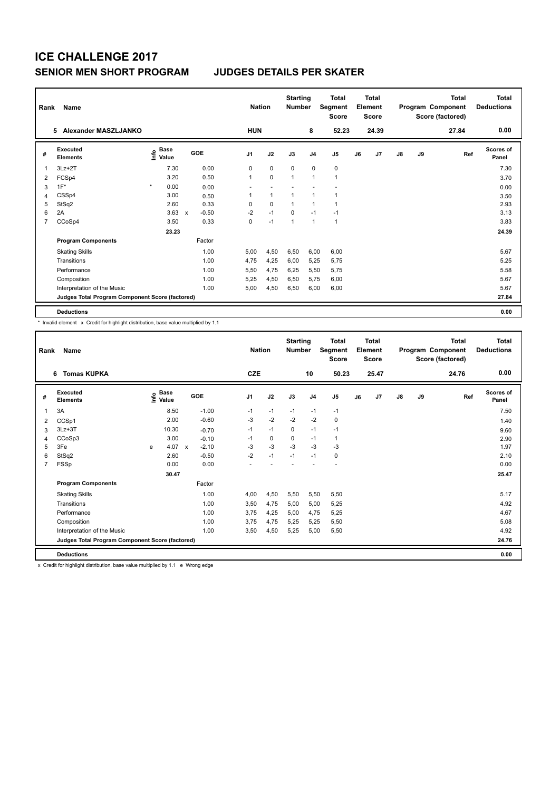| Rank           | Name                                            |                                  |                                      |                | <b>Nation</b>  |                |                | <b>Starting</b><br><b>Total</b><br><b>Number</b><br>Segment<br><b>Score</b> |    | <b>Total</b><br>Element<br><b>Score</b> |               |    | Total<br>Program Component<br>Score (factored) | <b>Total</b><br><b>Deductions</b> |
|----------------|-------------------------------------------------|----------------------------------|--------------------------------------|----------------|----------------|----------------|----------------|-----------------------------------------------------------------------------|----|-----------------------------------------|---------------|----|------------------------------------------------|-----------------------------------|
|                | 5 Alexander MASZLJANKO                          |                                  |                                      | <b>HUN</b>     |                |                | 8              | 52.23                                                                       |    | 24.39                                   |               |    | 27.84                                          | 0.00                              |
| #              | Executed<br><b>Elements</b>                     | <b>Base</b><br>o Base<br>⊆ Value | GOE                                  | J <sub>1</sub> | J2             | J3             | J <sub>4</sub> | J <sub>5</sub>                                                              | J6 | J7                                      | $\mathsf{J}8$ | J9 | Ref                                            | Scores of<br>Panel                |
| 1              | $3Lz + 2T$                                      | 7.30                             | 0.00                                 | 0              | $\mathbf 0$    | $\mathbf 0$    | $\mathbf 0$    | 0                                                                           |    |                                         |               |    |                                                | 7.30                              |
| 2              | FCSp4                                           | 3.20                             | 0.50                                 | 1              | $\mathbf 0$    | $\overline{1}$ | $\overline{1}$ | $\overline{1}$                                                              |    |                                         |               |    |                                                | 3.70                              |
| 3              | $1F^*$                                          | $\star$<br>0.00                  | 0.00                                 | ٠              |                |                |                |                                                                             |    |                                         |               |    |                                                | 0.00                              |
| 4              | CSSp4                                           | 3.00                             | 0.50                                 |                | $\overline{1}$ | 1              | $\overline{1}$ | 1                                                                           |    |                                         |               |    |                                                | 3.50                              |
| 5              | StSq2                                           | 2.60                             | 0.33                                 | 0              | $\Omega$       | -1             | $\overline{1}$ | 1                                                                           |    |                                         |               |    |                                                | 2.93                              |
| 6              | 2A                                              | 3.63                             | $-0.50$<br>$\boldsymbol{\mathsf{x}}$ | $-2$           | $-1$           | 0              | $-1$           | $-1$                                                                        |    |                                         |               |    |                                                | 3.13                              |
| $\overline{7}$ | CCoSp4                                          | 3.50                             | 0.33                                 | 0              | $-1$           | $\overline{1}$ | $\mathbf{1}$   | $\mathbf{1}$                                                                |    |                                         |               |    |                                                | 3.83                              |
|                |                                                 | 23.23                            |                                      |                |                |                |                |                                                                             |    |                                         |               |    |                                                | 24.39                             |
|                | <b>Program Components</b>                       |                                  | Factor                               |                |                |                |                |                                                                             |    |                                         |               |    |                                                |                                   |
|                | <b>Skating Skills</b>                           |                                  | 1.00                                 | 5,00           | 4,50           | 6,50           | 6,00           | 6,00                                                                        |    |                                         |               |    |                                                | 5.67                              |
|                | Transitions                                     |                                  | 1.00                                 | 4,75           | 4,25           | 6,00           | 5,25           | 5,75                                                                        |    |                                         |               |    |                                                | 5.25                              |
|                | Performance                                     |                                  | 1.00                                 | 5.50           | 4,75           | 6,25           | 5,50           | 5,75                                                                        |    |                                         |               |    |                                                | 5.58                              |
|                | Composition                                     |                                  | 1.00                                 | 5,25           | 4,50           | 6,50           | 5,75           | 6,00                                                                        |    |                                         |               |    |                                                | 5.67                              |
|                | Interpretation of the Music                     |                                  | 1.00                                 | 5,00           | 4,50           | 6,50           | 6,00           | 6,00                                                                        |    |                                         |               |    |                                                | 5.67                              |
|                | Judges Total Program Component Score (factored) |                                  |                                      |                |                |                |                |                                                                             |    |                                         |               |    |                                                | 27.84                             |
|                | <b>Deductions</b>                               |                                  |                                      |                |                |                |                |                                                                             |    |                                         |               |    |                                                | 0.00                              |

\* Invalid element x Credit for highlight distribution, base value multiplied by 1.1

|                | <b>Name</b><br>Rank<br><b>Tomas KUPKA</b><br>6  |   |                                           |              |         |                | <b>Nation</b> |      | <b>Starting</b><br><b>Number</b> | <b>Total</b><br>Segment<br><b>Score</b> | <b>Total</b><br>Element<br><b>Score</b><br>25.47 |    |               |    | <b>Total</b><br>Program Component<br>Score (factored) | Total<br><b>Deductions</b> |
|----------------|-------------------------------------------------|---|-------------------------------------------|--------------|---------|----------------|---------------|------|----------------------------------|-----------------------------------------|--------------------------------------------------|----|---------------|----|-------------------------------------------------------|----------------------------|
|                |                                                 |   |                                           |              |         | <b>CZE</b>     |               |      | 10                               | 50.23                                   |                                                  |    |               |    | 24.76                                                 | 0.00                       |
| #              | Executed<br><b>Elements</b>                     |   | $\frac{e}{E}$ Base<br>$\frac{E}{E}$ Value |              | GOE     | J <sub>1</sub> | J2            | J3   | J <sub>4</sub>                   | J <sub>5</sub>                          | J6                                               | J7 | $\mathsf{J}8$ | J9 | Ref                                                   | <b>Scores of</b><br>Panel  |
| 1              | 3A                                              |   | 8.50                                      |              | $-1.00$ | $-1$           | $-1$          | $-1$ | $-1$                             | $-1$                                    |                                                  |    |               |    |                                                       | 7.50                       |
| 2              | CCSp1                                           |   | 2.00                                      |              | $-0.60$ | $-3$           | $-2$          | $-2$ | $-2$                             | $\mathbf 0$                             |                                                  |    |               |    |                                                       | 1.40                       |
| 3              | $3Lz + 3T$                                      |   | 10.30                                     |              | $-0.70$ | $-1$           | $-1$          | 0    | $-1$                             | $-1$                                    |                                                  |    |               |    |                                                       | 9.60                       |
| 4              | CCoSp3                                          |   | 3.00                                      |              | $-0.10$ | $-1$           | 0             | 0    | $-1$                             | $\mathbf{1}$                            |                                                  |    |               |    |                                                       | 2.90                       |
| 5              | 3Fe                                             | e | 4.07                                      | $\mathsf{x}$ | $-2.10$ | $-3$           | $-3$          | $-3$ | $-3$                             | $-3$                                    |                                                  |    |               |    |                                                       | 1.97                       |
| 6              | StSq2                                           |   | 2.60                                      |              | $-0.50$ | $-2$           | $-1$          | $-1$ | $-1$                             | $\mathbf 0$                             |                                                  |    |               |    |                                                       | 2.10                       |
| $\overline{7}$ | FSSp                                            |   | 0.00                                      |              | 0.00    |                |               |      |                                  | $\overline{\phantom{a}}$                |                                                  |    |               |    |                                                       | 0.00                       |
|                |                                                 |   | 30.47                                     |              |         |                |               |      |                                  |                                         |                                                  |    |               |    |                                                       | 25.47                      |
|                | <b>Program Components</b>                       |   |                                           |              | Factor  |                |               |      |                                  |                                         |                                                  |    |               |    |                                                       |                            |
|                | <b>Skating Skills</b>                           |   |                                           |              | 1.00    | 4,00           | 4,50          | 5,50 | 5,50                             | 5,50                                    |                                                  |    |               |    |                                                       | 5.17                       |
|                | Transitions                                     |   |                                           |              | 1.00    | 3,50           | 4.75          | 5,00 | 5,00                             | 5,25                                    |                                                  |    |               |    |                                                       | 4.92                       |
|                | Performance                                     |   |                                           |              | 1.00    | 3,75           | 4,25          | 5,00 | 4,75                             | 5,25                                    |                                                  |    |               |    |                                                       | 4.67                       |
|                | Composition                                     |   |                                           |              | 1.00    | 3.75           | 4,75          | 5,25 | 5,25                             | 5,50                                    |                                                  |    |               |    |                                                       | 5.08                       |
|                | Interpretation of the Music                     |   |                                           |              | 1.00    | 3,50           | 4,50          | 5,25 | 5,00                             | 5,50                                    |                                                  |    |               |    |                                                       | 4.92                       |
|                | Judges Total Program Component Score (factored) |   |                                           |              |         |                |               |      |                                  |                                         |                                                  |    |               |    |                                                       | 24.76                      |
|                | <b>Deductions</b>                               |   |                                           |              |         |                |               |      |                                  |                                         |                                                  |    |               |    |                                                       | 0.00                       |

x Credit for highlight distribution, base value multiplied by 1.1 e Wrong edge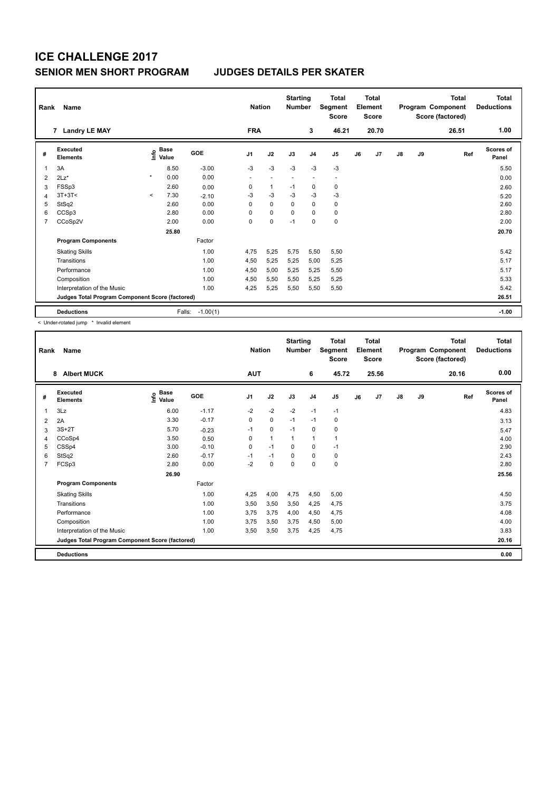| Rank           | <b>Name</b>                                     |         | <b>Nation</b>                    |            | <b>Starting</b><br><b>Number</b> | Total<br>Segment<br><b>Score</b> | <b>Total</b><br>Element<br><b>Score</b> |                          |                          |    | <b>Total</b><br>Program Component<br>Score (factored) | <b>Total</b><br><b>Deductions</b> |    |       |                           |
|----------------|-------------------------------------------------|---------|----------------------------------|------------|----------------------------------|----------------------------------|-----------------------------------------|--------------------------|--------------------------|----|-------------------------------------------------------|-----------------------------------|----|-------|---------------------------|
|                | 7 Landry LE MAY                                 |         |                                  |            | <b>FRA</b>                       |                                  |                                         | 3                        | 46.21                    |    | 20.70                                                 |                                   |    | 26.51 | 1.00                      |
| #              | Executed<br><b>Elements</b>                     |         | <b>Base</b><br>e Base<br>⊆ Value | GOE        | J <sub>1</sub>                   | J2                               | J3                                      | J <sub>4</sub>           | J <sub>5</sub>           | J6 | J7                                                    | $\mathsf{J}8$                     | J9 | Ref   | <b>Scores of</b><br>Panel |
| $\overline{1}$ | 3A                                              |         | 8.50                             | $-3.00$    | $-3$                             | $-3$                             | $-3$                                    | -3                       | $-3$                     |    |                                                       |                                   |    |       | 5.50                      |
| 2              | $2Lz$ *                                         | $\star$ | 0.00                             | 0.00       | $\overline{\phantom{a}}$         | $\overline{\phantom{a}}$         | $\overline{\phantom{a}}$                | $\overline{\phantom{a}}$ | $\overline{\phantom{a}}$ |    |                                                       |                                   |    |       | 0.00                      |
| 3              | FSSp3                                           |         | 2.60                             | 0.00       | 0                                | $\mathbf{1}$                     | $-1$                                    | 0                        | 0                        |    |                                                       |                                   |    |       | 2.60                      |
| $\overline{4}$ | $3T+3T<$                                        | $\prec$ | 7.30                             | $-2.10$    | -3                               | $-3$                             | $-3$                                    | $-3$                     | $-3$                     |    |                                                       |                                   |    |       | 5.20                      |
| 5              | StSq2                                           |         | 2.60                             | 0.00       | $\Omega$                         | $\mathbf 0$                      | $\Omega$                                | $\mathbf 0$              | $\mathbf 0$              |    |                                                       |                                   |    |       | 2.60                      |
| 6              | CCSp3                                           |         | 2.80                             | 0.00       | 0                                | $\mathbf 0$                      | $\mathbf 0$                             | $\mathbf 0$              | $\mathbf 0$              |    |                                                       |                                   |    |       | 2.80                      |
| $\overline{7}$ | CCoSp2V                                         |         | 2.00                             | 0.00       | 0                                | $\pmb{0}$                        | $-1$                                    | 0                        | 0                        |    |                                                       |                                   |    |       | 2.00                      |
|                |                                                 |         | 25.80                            |            |                                  |                                  |                                         |                          |                          |    |                                                       |                                   |    |       | 20.70                     |
|                | <b>Program Components</b>                       |         |                                  | Factor     |                                  |                                  |                                         |                          |                          |    |                                                       |                                   |    |       |                           |
|                | <b>Skating Skills</b>                           |         |                                  | 1.00       | 4,75                             | 5,25                             | 5,75                                    | 5,50                     | 5,50                     |    |                                                       |                                   |    |       | 5.42                      |
|                | Transitions                                     |         |                                  | 1.00       | 4,50                             | 5,25                             | 5,25                                    | 5,00                     | 5,25                     |    |                                                       |                                   |    |       | 5.17                      |
|                | Performance                                     |         |                                  | 1.00       | 4,50                             | 5,00                             | 5,25                                    | 5,25                     | 5,50                     |    |                                                       |                                   |    |       | 5.17                      |
|                | Composition                                     |         |                                  | 1.00       | 4,50                             | 5,50                             | 5,50                                    | 5,25                     | 5,25                     |    |                                                       |                                   |    |       | 5.33                      |
|                | Interpretation of the Music                     |         |                                  | 1.00       | 4,25                             | 5,25                             | 5,50                                    | 5,50                     | 5,50                     |    |                                                       |                                   |    |       | 5.42                      |
|                | Judges Total Program Component Score (factored) |         |                                  |            |                                  |                                  |                                         |                          |                          |    |                                                       |                                   |    |       | 26.51                     |
|                | <b>Deductions</b>                               |         | Falls:                           | $-1.00(1)$ |                                  |                                  |                                         |                          |                          |    |                                                       |                                   |    |       | $-1.00$                   |

< Under-rotated jump \* Invalid element

| Rank           | Name                                            |                              |         |                | <b>Nation</b> |          | <b>Starting</b><br><b>Number</b> | <b>Total</b><br>Segment<br><b>Score</b> |    | Total<br>Element<br><b>Score</b> |               |    | <b>Total</b><br>Program Component<br>Score (factored) | <b>Total</b><br><b>Deductions</b> |
|----------------|-------------------------------------------------|------------------------------|---------|----------------|---------------|----------|----------------------------------|-----------------------------------------|----|----------------------------------|---------------|----|-------------------------------------------------------|-----------------------------------|
|                | 8<br><b>Albert MUCK</b>                         |                              |         | <b>AUT</b>     |               |          | 6                                | 45.72                                   |    | 25.56                            |               |    | 20.16                                                 | 0.00                              |
| #              | Executed<br><b>Elements</b>                     | <b>Base</b><br>lnfo<br>Value | GOE     | J <sub>1</sub> | J2            | J3       | J <sub>4</sub>                   | J5                                      | J6 | J7                               | $\mathsf{J}8$ | J9 | Ref                                                   | <b>Scores of</b><br>Panel         |
| 1              | 3Lz                                             | 6.00                         | $-1.17$ | $-2$           | $-2$          | $-2$     | $-1$                             | $-1$                                    |    |                                  |               |    |                                                       | 4.83                              |
| 2              | 2A                                              | 3.30                         | $-0.17$ | 0              | 0             | $-1$     | $-1$                             | 0                                       |    |                                  |               |    |                                                       | 3.13                              |
| 3              | $3S+2T$                                         | 5.70                         | $-0.23$ | $-1$           | 0             | $-1$     | 0                                | 0                                       |    |                                  |               |    |                                                       | 5.47                              |
| 4              | CCoSp4                                          | 3.50                         | 0.50    | $\Omega$       | 1             | 1        | $\mathbf{1}$                     | 1                                       |    |                                  |               |    |                                                       | 4.00                              |
| 5              | CSSp4                                           | 3.00                         | $-0.10$ | $\Omega$       | $-1$          | $\Omega$ | 0                                | $-1$                                    |    |                                  |               |    |                                                       | 2.90                              |
| 6              | StSq2                                           | 2.60                         | $-0.17$ | $-1$           | $-1$          | 0        | 0                                | 0                                       |    |                                  |               |    |                                                       | 2.43                              |
| $\overline{7}$ | FCSp3                                           | 2.80                         | 0.00    | $-2$           | $\Omega$      | $\Omega$ | $\Omega$                         | 0                                       |    |                                  |               |    |                                                       | 2.80                              |
|                |                                                 | 26.90                        |         |                |               |          |                                  |                                         |    |                                  |               |    |                                                       | 25.56                             |
|                | <b>Program Components</b>                       |                              | Factor  |                |               |          |                                  |                                         |    |                                  |               |    |                                                       |                                   |
|                | <b>Skating Skills</b>                           |                              | 1.00    | 4,25           | 4,00          | 4,75     | 4,50                             | 5,00                                    |    |                                  |               |    |                                                       | 4.50                              |
|                | Transitions                                     |                              | 1.00    | 3,50           | 3,50          | 3,50     | 4,25                             | 4,75                                    |    |                                  |               |    |                                                       | 3.75                              |
|                | Performance                                     |                              | 1.00    | 3.75           | 3.75          | 4,00     | 4,50                             | 4,75                                    |    |                                  |               |    |                                                       | 4.08                              |
|                | Composition                                     |                              | 1.00    | 3.75           | 3,50          | 3,75     | 4,50                             | 5,00                                    |    |                                  |               |    |                                                       | 4.00                              |
|                | Interpretation of the Music                     |                              | 1.00    | 3,50           | 3,50          | 3,75     | 4,25                             | 4,75                                    |    |                                  |               |    |                                                       | 3.83                              |
|                | Judges Total Program Component Score (factored) |                              |         |                |               |          |                                  |                                         |    |                                  |               |    |                                                       | 20.16                             |
|                | <b>Deductions</b>                               |                              |         |                |               |          |                                  |                                         |    |                                  |               |    |                                                       | 0.00                              |